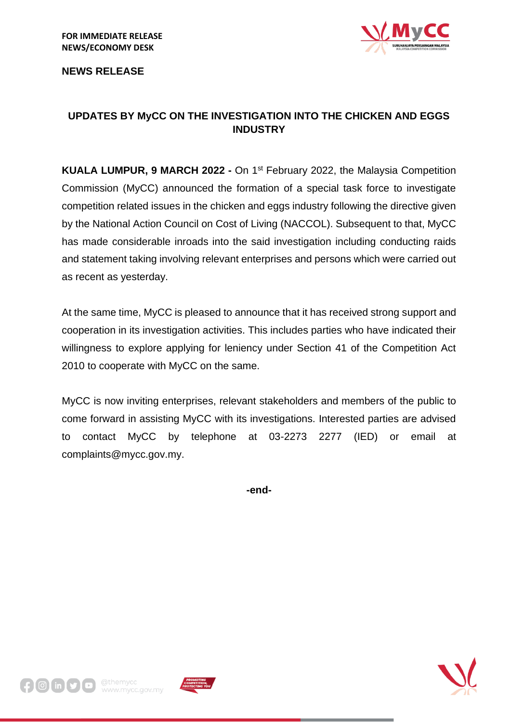

**NEWS RELEASE**

## **UPDATES BY MyCC ON THE INVESTIGATION INTO THE CHICKEN AND EGGS INDUSTRY**

**KUALA LUMPUR, 9 MARCH 2022 -** On 1st February 2022, the Malaysia Competition Commission (MyCC) announced the formation of a special task force to investigate competition related issues in the chicken and eggs industry following the directive given by the National Action Council on Cost of Living (NACCOL). Subsequent to that, MyCC has made considerable inroads into the said investigation including conducting raids and statement taking involving relevant enterprises and persons which were carried out as recent as yesterday.

At the same time, MyCC is pleased to announce that it has received strong support and cooperation in its investigation activities. This includes parties who have indicated their willingness to explore applying for leniency under Section 41 of the Competition Act 2010 to cooperate with MyCC on the same.

MyCC is now inviting enterprises, relevant stakeholders and members of the public to come forward in assisting MyCC with its investigations. Interested parties are advised to contact MyCC by telephone at 03-2273 2277 (IED) or email at complaints@mycc.gov.my.

**-end-**